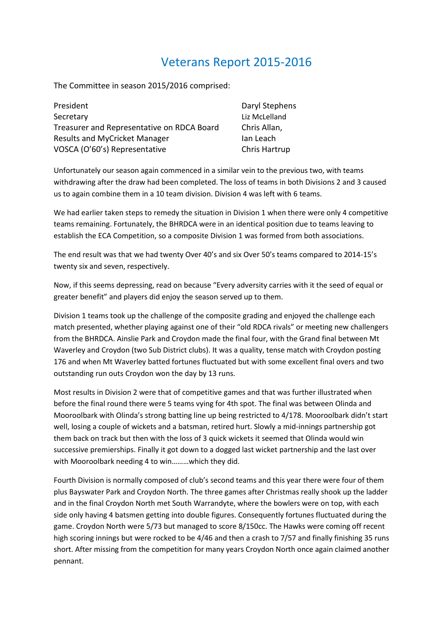## Veterans Report 2015-2016

The Committee in season 2015/2016 comprised:

| President                                  | Daryl Stephens |
|--------------------------------------------|----------------|
| Secretary                                  | Liz McLelland  |
| Treasurer and Representative on RDCA Board | Chris Allan,   |
| <b>Results and MyCricket Manager</b>       | Ian Leach      |
| VOSCA (O'60's) Representative              | Chris Hartrup  |

Unfortunately our season again commenced in a similar vein to the previous two, with teams withdrawing after the draw had been completed. The loss of teams in both Divisions 2 and 3 caused us to again combine them in a 10 team division. Division 4 was left with 6 teams.

We had earlier taken steps to remedy the situation in Division 1 when there were only 4 competitive teams remaining. Fortunately, the BHRDCA were in an identical position due to teams leaving to establish the ECA Competition, so a composite Division 1 was formed from both associations.

The end result was that we had twenty Over 40's and six Over 50's teams compared to 2014-15's twenty six and seven, respectively.

Now, if this seems depressing, read on because "Every adversity carries with it the seed of equal or greater benefit" and players did enjoy the season served up to them.

Division 1 teams took up the challenge of the composite grading and enjoyed the challenge each match presented, whether playing against one of their "old RDCA rivals" or meeting new challengers from the BHRDCA. Ainslie Park and Croydon made the final four, with the Grand final between Mt Waverley and Croydon (two Sub District clubs). It was a quality, tense match with Croydon posting 176 and when Mt Waverley batted fortunes fluctuated but with some excellent final overs and two outstanding run outs Croydon won the day by 13 runs.

Most results in Division 2 were that of competitive games and that was further illustrated when before the final round there were 5 teams vying for 4th spot. The final was between Olinda and Mooroolbark with Olinda's strong batting line up being restricted to 4/178. Mooroolbark didn't start well, losing a couple of wickets and a batsman, retired hurt. Slowly a mid-innings partnership got them back on track but then with the loss of 3 quick wickets it seemed that Olinda would win successive premierships. Finally it got down to a dogged last wicket partnership and the last over with Mooroolbark needing 4 to win………which they did.

Fourth Division is normally composed of club's second teams and this year there were four of them plus Bayswater Park and Croydon North. The three games after Christmas really shook up the ladder and in the final Croydon North met South Warrandyte, where the bowlers were on top, with each side only having 4 batsmen getting into double figures. Consequently fortunes fluctuated during the game. Croydon North were 5/73 but managed to score 8/150cc. The Hawks were coming off recent high scoring innings but were rocked to be 4/46 and then a crash to 7/57 and finally finishing 35 runs short. After missing from the competition for many years Croydon North once again claimed another pennant.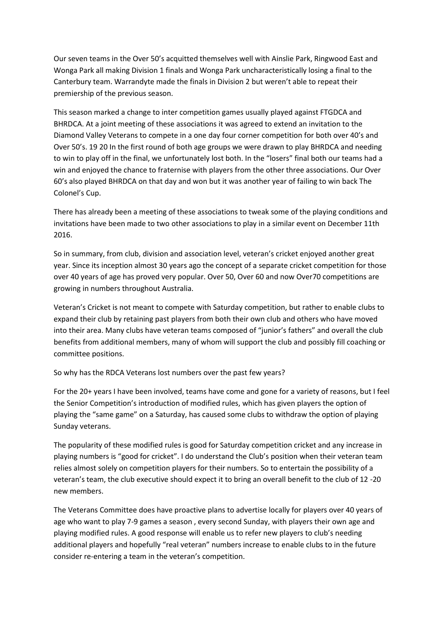Our seven teams in the Over 50's acquitted themselves well with Ainslie Park, Ringwood East and Wonga Park all making Division 1 finals and Wonga Park uncharacteristically losing a final to the Canterbury team. Warrandyte made the finals in Division 2 but weren't able to repeat their premiership of the previous season.

This season marked a change to inter competition games usually played against FTGDCA and BHRDCA. At a joint meeting of these associations it was agreed to extend an invitation to the Diamond Valley Veterans to compete in a one day four corner competition for both over 40's and Over 50's. 19 20 In the first round of both age groups we were drawn to play BHRDCA and needing to win to play off in the final, we unfortunately lost both. In the "losers" final both our teams had a win and enjoyed the chance to fraternise with players from the other three associations. Our Over 60's also played BHRDCA on that day and won but it was another year of failing to win back The Colonel's Cup.

There has already been a meeting of these associations to tweak some of the playing conditions and invitations have been made to two other associations to play in a similar event on December 11th 2016.

So in summary, from club, division and association level, veteran's cricket enjoyed another great year. Since its inception almost 30 years ago the concept of a separate cricket competition for those over 40 years of age has proved very popular. Over 50, Over 60 and now Over70 competitions are growing in numbers throughout Australia.

Veteran's Cricket is not meant to compete with Saturday competition, but rather to enable clubs to expand their club by retaining past players from both their own club and others who have moved into their area. Many clubs have veteran teams composed of "junior's fathers" and overall the club benefits from additional members, many of whom will support the club and possibly fill coaching or committee positions.

So why has the RDCA Veterans lost numbers over the past few years?

For the 20+ years I have been involved, teams have come and gone for a variety of reasons, but I feel the Senior Competition's introduction of modified rules, which has given players the option of playing the "same game" on a Saturday, has caused some clubs to withdraw the option of playing Sunday veterans.

The popularity of these modified rules is good for Saturday competition cricket and any increase in playing numbers is "good for cricket". I do understand the Club's position when their veteran team relies almost solely on competition players for their numbers. So to entertain the possibility of a veteran's team, the club executive should expect it to bring an overall benefit to the club of 12 -20 new members.

The Veterans Committee does have proactive plans to advertise locally for players over 40 years of age who want to play 7-9 games a season , every second Sunday, with players their own age and playing modified rules. A good response will enable us to refer new players to club's needing additional players and hopefully "real veteran" numbers increase to enable clubs to in the future consider re-entering a team in the veteran's competition.